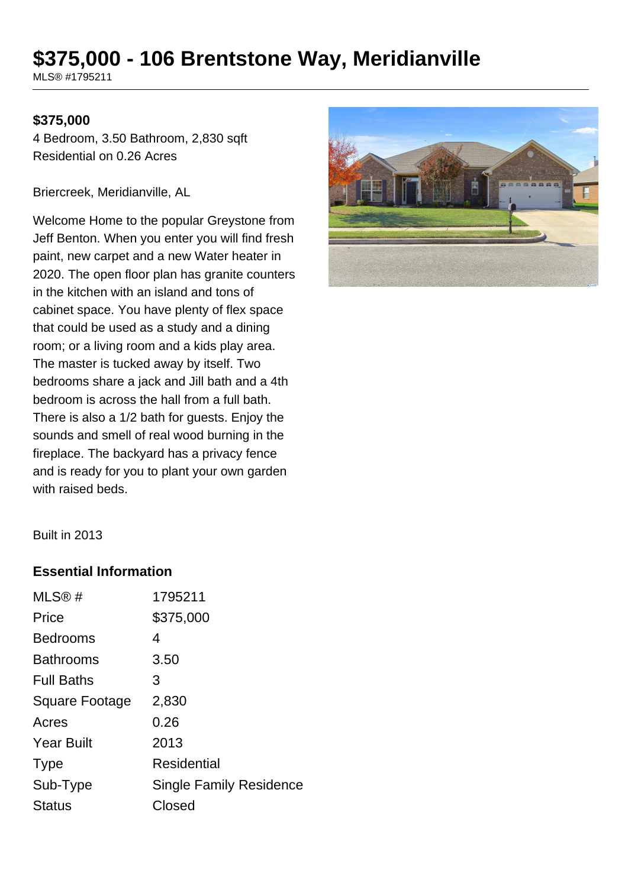# **\$375,000 - 106 Brentstone Way, Meridianville**

MLS® #1795211

#### **\$375,000**

4 Bedroom, 3.50 Bathroom, 2,830 sqft Residential on 0.26 Acres

Briercreek, Meridianville, AL

Welcome Home to the popular Greystone from Jeff Benton. When you enter you will find fresh paint, new carpet and a new Water heater in 2020. The open floor plan has granite counters in the kitchen with an island and tons of cabinet space. You have plenty of flex space that could be used as a study and a dining room; or a living room and a kids play area. The master is tucked away by itself. Two bedrooms share a jack and Jill bath and a 4th bedroom is across the hall from a full bath. There is also a 1/2 bath for guests. Enjoy the sounds and smell of real wood burning in the fireplace. The backyard has a privacy fence and is ready for you to plant your own garden with raised beds.



Built in 2013

#### **Essential Information**

| MLS®#             | 1795211                 |
|-------------------|-------------------------|
| Price             | \$375,000               |
| <b>Bedrooms</b>   | 4                       |
| <b>Bathrooms</b>  | 3.50                    |
| <b>Full Baths</b> | 3                       |
| Square Footage    | 2,830                   |
| Acres             | 0.26                    |
| <b>Year Built</b> | 2013                    |
| <b>Type</b>       | Residential             |
| Sub-Type          | Single Family Residence |
| <b>Status</b>     | Closed                  |